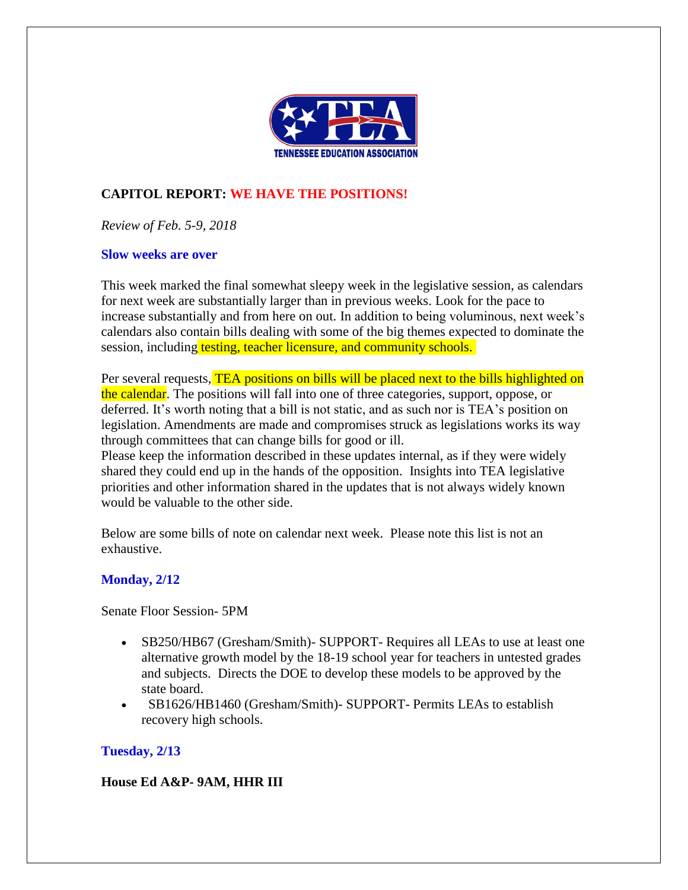

# **CAPITOL REPORT: WE HAVE THE POSITIONS!**

*Review of Feb. 5-9, 2018*

#### **Slow weeks are over**

This week marked the final somewhat sleepy week in the legislative session, as calendars for next week are substantially larger than in previous weeks. Look for the pace to increase substantially and from here on out. In addition to being voluminous, next week's calendars also contain bills dealing with some of the big themes expected to dominate the session, including testing, teacher licensure, and community schools.

Per several requests, TEA positions on bills will be placed next to the bills highlighted on the calendar. The positions will fall into one of three categories, support, oppose, or deferred. It's worth noting that a bill is not static, and as such nor is TEA's position on legislation. Amendments are made and compromises struck as legislations works its way through committees that can change bills for good or ill.

Please keep the information described in these updates internal, as if they were widely shared they could end up in the hands of the opposition. Insights into TEA legislative priorities and other information shared in the updates that is not always widely known would be valuable to the other side.

Below are some bills of note on calendar next week. Please note this list is not an exhaustive.

### **Monday, 2/12**

Senate Floor Session- 5PM

- SB250/HB67 (Gresham/Smith)- SUPPORT- Requires all LEAs to use at least one alternative growth model by the 18-19 school year for teachers in untested grades and subjects. Directs the DOE to develop these models to be approved by the state board.
- SB1626/HB1460 (Gresham/Smith)- SUPPORT- Permits LEAs to establish recovery high schools.

### **Tuesday, 2/13**

**House Ed A&P- 9AM, HHR III**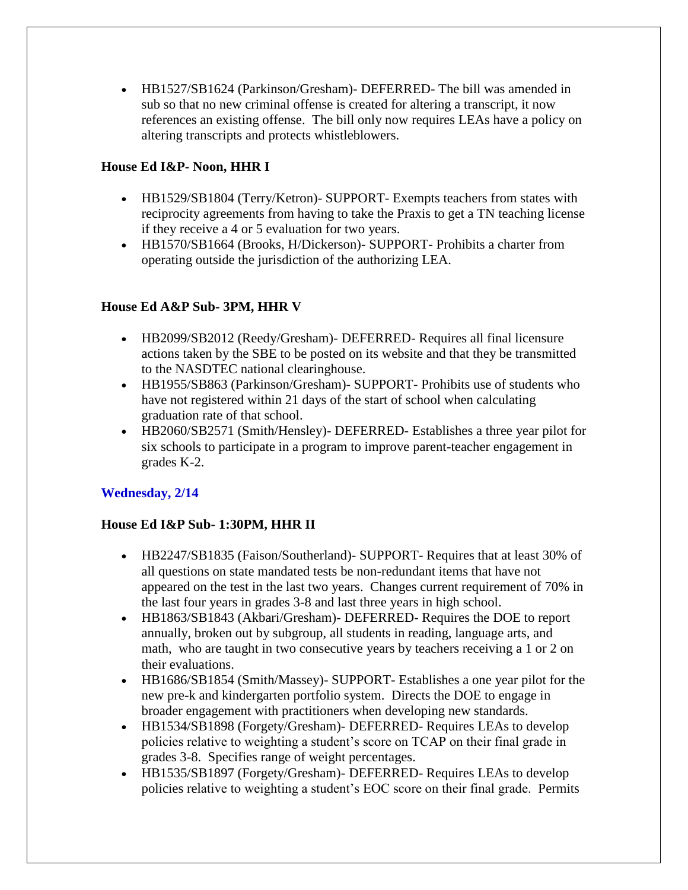• HB1527/SB1624 (Parkinson/Gresham)- DEFERRED- The bill was amended in sub so that no new criminal offense is created for altering a transcript, it now references an existing offense. The bill only now requires LEAs have a policy on altering transcripts and protects whistleblowers.

## **House Ed I&P- Noon, HHR I**

- HB1529/SB1804 (Terry/Ketron) SUPPORT Exempts teachers from states with reciprocity agreements from having to take the Praxis to get a TN teaching license if they receive a 4 or 5 evaluation for two years.
- HB1570/SB1664 (Brooks, H/Dickerson) SUPPORT Prohibits a charter from operating outside the jurisdiction of the authorizing LEA.

### **House Ed A&P Sub- 3PM, HHR V**

- HB2099/SB2012 (Reedy/Gresham)- DEFERRED- Requires all final licensure actions taken by the SBE to be posted on its website and that they be transmitted to the NASDTEC national clearinghouse.
- HB1955/SB863 (Parkinson/Gresham)- SUPPORT- Prohibits use of students who have not registered within 21 days of the start of school when calculating graduation rate of that school.
- HB2060/SB2571 (Smith/Hensley)- DEFERRED- Establishes a three year pilot for six schools to participate in a program to improve parent-teacher engagement in grades K-2.

### **Wednesday, 2/14**

### **House Ed I&P Sub- 1:30PM, HHR II**

- HB2247/SB1835 (Faison/Southerland)- SUPPORT- Requires that at least 30% of all questions on state mandated tests be non-redundant items that have not appeared on the test in the last two years. Changes current requirement of 70% in the last four years in grades 3-8 and last three years in high school.
- HB1863/SB1843 (Akbari/Gresham)- DEFERRED- Requires the DOE to report annually, broken out by subgroup, all students in reading, language arts, and math, who are taught in two consecutive years by teachers receiving a 1 or 2 on their evaluations.
- HB1686/SB1854 (Smith/Massey)- SUPPORT- Establishes a one year pilot for the new pre-k and kindergarten portfolio system. Directs the DOE to engage in broader engagement with practitioners when developing new standards.
- HB1534/SB1898 (Forgety/Gresham) DEFERRED- Requires LEAs to develop policies relative to weighting a student's score on TCAP on their final grade in grades 3-8. Specifies range of weight percentages.
- HB1535/SB1897 (Forgety/Gresham) DEFERRED- Requires LEAs to develop policies relative to weighting a student's EOC score on their final grade. Permits